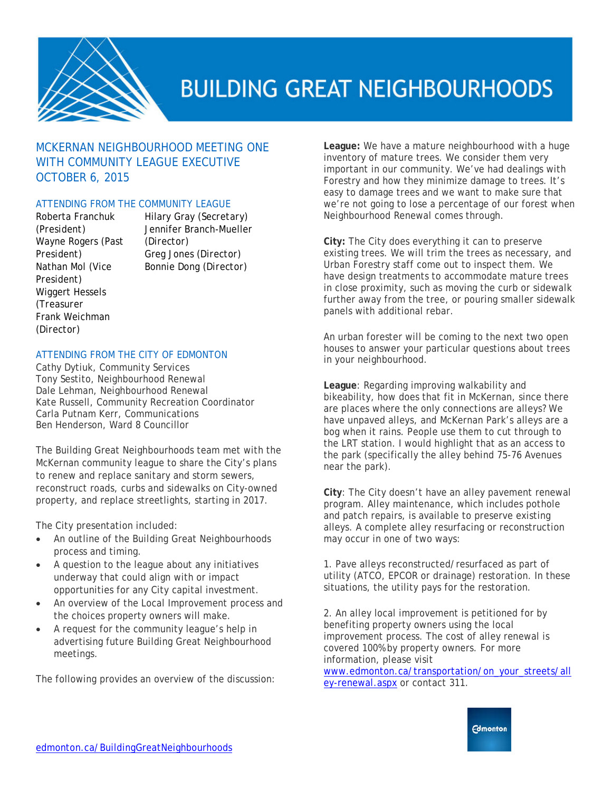

### MCKERNAN NEIGHBOURHOOD MEETING ONE WITH COMMUNITY LEAGUE EXECUTIVE OCTOBER 6, 2015

#### ATTENDING FROM THE COMMUNITY LEAGUE

Roberta Franchuk *(President)* Wayne Rogers *(Past President)* Nathan Mol *(Vice President)* Wiggert Hessels *(Treasurer* Frank Weichman *(Director)*

Hilary Gray *(Secretary)* Jennifer Branch-Mueller *(Director)* Greg Jones *(Director)* Bonnie Dong *(Director)*

#### ATTENDING FROM THE CITY OF EDMONTON

Cathy Dytiuk, Community Services Tony Sestito, Neighbourhood Renewal Dale Lehman, Neighbourhood Renewal Kate Russell, Community Recreation Coordinator Carla Putnam Kerr, Communications Ben Henderson, Ward 8 Councillor

The Building Great Neighbourhoods team met with the McKernan community league to share the City's plans to renew and replace sanitary and storm sewers, reconstruct roads, curbs and sidewalks on City-owned property, and replace streetlights, starting in 2017.

The City presentation included:

- An outline of the Building Great Neighbourhoods process and timing.
- A question to the league about any initiatives underway that could align with or impact opportunities for any City capital investment.
- An overview of the Local Improvement process and the choices property owners will make.
- A request for the community league's help in advertising future Building Great Neighbourhood meetings.

The following provides an overview of the discussion:

**League:** We have a mature neighbourhood with a huge inventory of mature trees. We consider them very important in our community. We've had dealings with Forestry and how they minimize damage to trees. It's easy to damage trees and we want to make sure that we're not going to lose a percentage of our forest when Neighbourhood Renewal comes through.

**City:** The City does everything it can to preserve existing trees. We will trim the trees as necessary, and Urban Forestry staff come out to inspect them. We have design treatments to accommodate mature trees in close proximity, such as moving the curb or sidewalk further away from the tree, or pouring smaller sidewalk panels with additional rebar.

An urban forester will be coming to the next two open houses to answer your particular questions about trees in your neighbourhood.

**League**: Regarding improving walkability and bikeability, how does that fit in McKernan, since there are places where the only connections are alleys? We have unpaved alleys, and McKernan Park's alleys are a bog when it rains. People use them to cut through to the LRT station. I would highlight that as an access to the park (specifically the alley behind 75-76 Avenues near the park).

**City**: The City doesn't have an alley pavement renewal program. Alley maintenance, which includes pothole and patch repairs, is available to preserve existing alleys. A complete alley resurfacing or reconstruction may occur in one of two ways:

1. Pave alleys reconstructed/resurfaced as part of utility (ATCO, EPCOR or drainage) restoration. In these situations, the utility pays for the restoration.

2. An alley local improvement is petitioned for by benefiting property owners using the local improvement process. The cost of alley renewal is covered 100% by property owners. For more information, please visit

[www.edmonton.ca/transportation/on\\_your\\_streets/all](http://www.edmonton.ca/transportation/on_your_streets/alley-renewal.aspx) [ey-renewal.aspx](http://www.edmonton.ca/transportation/on_your_streets/alley-renewal.aspx) or contact 311.

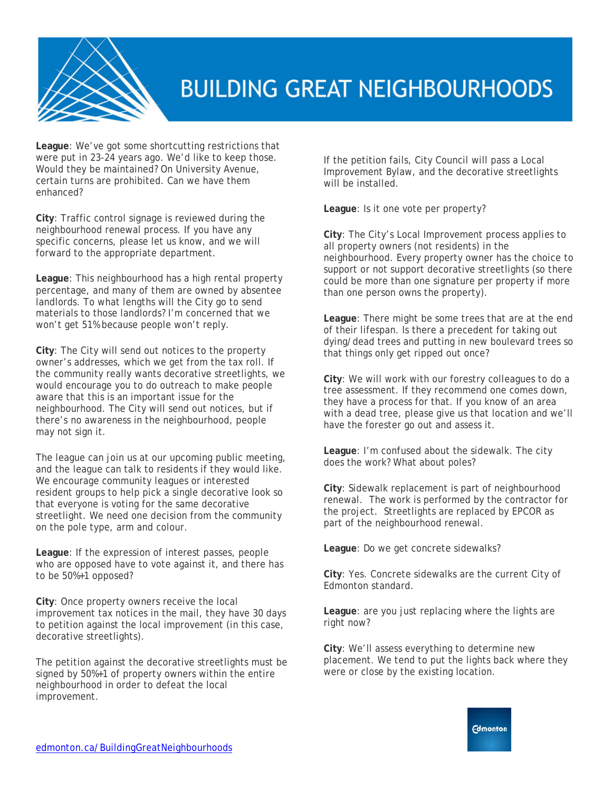

**League**: We've got some shortcutting restrictions that were put in 23-24 years ago. We'd like to keep those. Would they be maintained? On University Avenue, certain turns are prohibited. Can we have them enhanced?

**City**: Traffic control signage is reviewed during the neighbourhood renewal process. If you have any specific concerns, please let us know, and we will forward to the appropriate department.

**League**: This neighbourhood has a high rental property percentage, and many of them are owned by absentee landlords. To what lengths will the City go to send materials to those landlords? I'm concerned that we won't get 51% because people won't reply.

**City**: The City will send out notices to the property owner's addresses, which we get from the tax roll. If the community really wants decorative streetlights, we would encourage you to do outreach to make people aware that this is an important issue for the neighbourhood. The City will send out notices, but if there's no awareness in the neighbourhood, people may not sign it.

The league can join us at our upcoming public meeting, and the league can talk to residents if they would like. We encourage community leagues or interested resident groups to help pick a single decorative look so that everyone is voting for the same decorative streetlight. We need one decision from the community on the pole type, arm and colour.

**League**: If the expression of interest passes, people who are opposed have to vote against it, and there has to be 50%+1 opposed?

**City**: Once property owners receive the local improvement tax notices in the mail, they have 30 days to petition against the local improvement (in this case, decorative streetlights).

The petition against the decorative streetlights must be signed by 50%+1 of property owners within the entire neighbourhood in order to defeat the local improvement.

If the petition fails, City Council will pass a Local Improvement Bylaw, and the decorative streetlights will be installed.

**League**: Is it one vote per property?

**City**: The City's Local Improvement process applies to all property owners (not residents) in the neighbourhood. Every property owner has the choice to support or not support decorative streetlights (so there could be more than one signature per property if more than one person owns the property).

**League**: There might be some trees that are at the end of their lifespan. Is there a precedent for taking out dying/dead trees and putting in new boulevard trees so that things only get ripped out once?

**City**: We will work with our forestry colleagues to do a tree assessment. If they recommend one comes down, they have a process for that. If you know of an area with a dead tree, please give us that location and we'll have the forester go out and assess it.

**League**: I'm confused about the sidewalk. The city does the work? What about poles?

**City**: Sidewalk replacement is part of neighbourhood renewal. The work is performed by the contractor for the project. Streetlights are replaced by EPCOR as part of the neighbourhood renewal.

**League**: Do we get concrete sidewalks?

**City**: Yes. Concrete sidewalks are the current City of Edmonton standard.

**League**: are you just replacing where the lights are right now?

**City**: We'll assess everything to determine new placement. We tend to put the lights back where they were or close by the existing location.

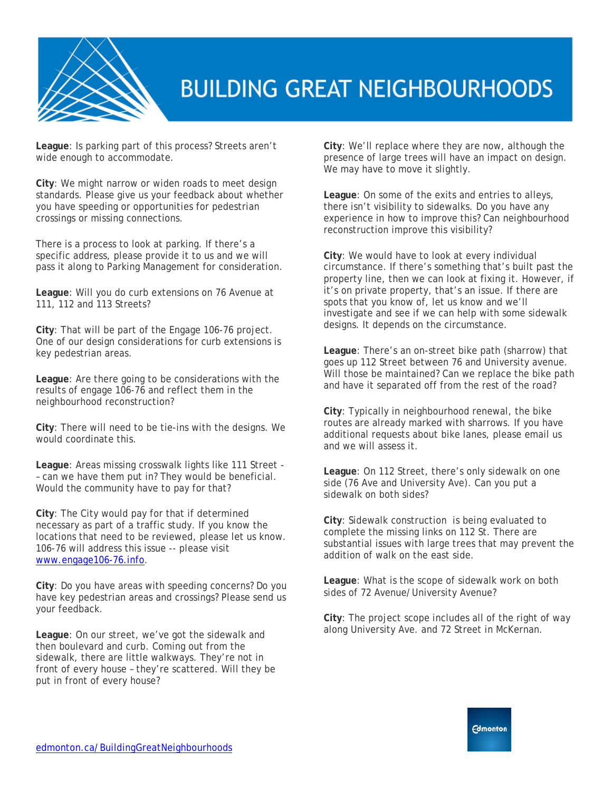

**League**: Is parking part of this process? Streets aren't wide enough to accommodate.

**City**: We might narrow or widen roads to meet design standards. Please give us your feedback about whether you have speeding or opportunities for pedestrian crossings or missing connections.

There is a process to look at parking. If there's a specific address, please provide it to us and we will pass it along to Parking Management for consideration.

**League**: Will you do curb extensions on 76 Avenue at 111, 112 and 113 Streets?

**City**: That will be part of the Engage 106-76 project. One of our design considerations for curb extensions is key pedestrian areas.

**League**: Are there going to be considerations with the results of engage 106-76 and reflect them in the neighbourhood reconstruction?

**City**: There will need to be tie-ins with the designs. We would coordinate this.

**League**: Areas missing crosswalk lights like 111 Street - – can we have them put in? They would be beneficial. Would the community have to pay for that?

**City**: The City would pay for that if determined necessary as part of a traffic study. If you know the locations that need to be reviewed, please let us know. 106-76 will address this issue -- please visit [www.engage106-76.info.](http://www.engage106-76.info/)

**City**: Do you have areas with speeding concerns? Do you have key pedestrian areas and crossings? Please send us your feedback.

**League**: On our street, we've got the sidewalk and then boulevard and curb. Coming out from the sidewalk, there are little walkways. They're not in front of every house – they're scattered. Will they be put in front of every house?

**City**: We'll replace where they are now, although the presence of large trees will have an impact on design. We may have to move it slightly.

**League**: On some of the exits and entries to alleys, there isn't visibility to sidewalks. Do you have any experience in how to improve this? Can neighbourhood reconstruction improve this visibility?

**City**: We would have to look at every individual circumstance. If there's something that's built past the property line, then we can look at fixing it. However, if it's on private property, that's an issue. If there are spots that you know of, let us know and we'll investigate and see if we can help with some sidewalk designs. It depends on the circumstance.

**League**: There's an on-street bike path (sharrow) that goes up 112 Street between 76 and University avenue. Will those be maintained? Can we replace the bike path and have it separated off from the rest of the road?

**City**: Typically in neighbourhood renewal, the bike routes are already marked with sharrows. If you have additional requests about bike lanes, please email us and we will assess it.

**League**: On 112 Street, there's only sidewalk on one side (76 Ave and University Ave). Can you put a sidewalk on both sides?

**City**: Sidewalk construction is being evaluated to complete the missing links on 112 St. There are substantial issues with large trees that may prevent the addition of walk on the east side.

**League**: What is the scope of sidewalk work on both sides of 72 Avenue/University Avenue?

**City**: The project scope includes all of the right of way along University Ave. and 72 Street in McKernan.